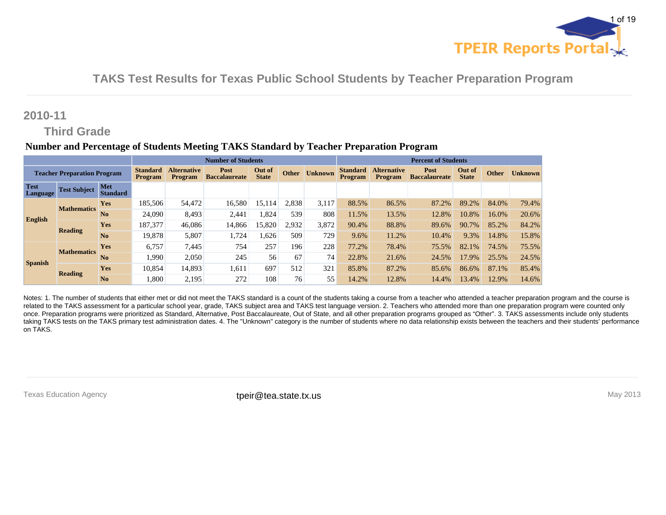

### **2010-11**

# **Third Grade**

#### **Number and Percentage of Students Meeting TAKS Standard by Teacher Preparation Program**

|                                | <b>Number of Students</b>          |                               |                                   |                                      |                              |                        | <b>Percent of Students</b> |                |                                   |                        |                              |                        |              |                |
|--------------------------------|------------------------------------|-------------------------------|-----------------------------------|--------------------------------------|------------------------------|------------------------|----------------------------|----------------|-----------------------------------|------------------------|------------------------------|------------------------|--------------|----------------|
|                                | <b>Teacher Preparation Program</b> |                               | <b>Standard</b><br><b>Program</b> | <b>Alternative</b><br><b>Program</b> | Post<br><b>Baccalaureate</b> | Out of<br><b>State</b> | <b>Other</b>               | <b>Unknown</b> | <b>Standard</b><br><b>Program</b> | Alternative<br>Program | Post<br><b>Baccalaureate</b> | Out of<br><b>State</b> | <b>Other</b> | <b>Unknown</b> |
| <b>Test</b><br><b>Language</b> | <b>Test Subject</b>                | <b>Met</b><br><b>Standard</b> |                                   |                                      |                              |                        |                            |                |                                   |                        |                              |                        |              |                |
|                                | <b>Mathematics</b>                 | <b>Yes</b>                    | 185.506                           | 54,472                               | 16,580                       | 15,114                 | 2,838                      | 3,117          | 88.5%                             | 86.5%                  | 87.2%                        | 89.2%                  | 84.0%        | 79.4%          |
| English                        |                                    | No                            | 24.090                            | 8.493                                | 2,441                        | .824                   | 539                        | 808            | 11.5%                             | 13.5%                  | 12.8%                        | 10.8%                  | 16.0%        | 20.6%          |
|                                | <b>Reading</b>                     | <b>Yes</b>                    | 187,377                           | 46.086                               | 14,866                       | 15,820                 | 2,932                      | 3,872          | 90.4%                             | 88.8%                  | 89.6%                        | 90.7%                  | 85.2%        | 84.2%          |
|                                |                                    | No                            | 19,878                            | 5,807                                | 1,724                        | .626                   | 509                        | 729            | 9.6%                              | 11.2%                  | 10.4%                        | 9.3%                   | 14.8%        | 15.8%          |
|                                | <b>Mathematics</b>                 | <b>Yes</b>                    | 6,757                             | 7,445                                | 754                          | 257                    | 196                        | 228            | 77.2%                             | 78.4%                  | 75.5%                        | 82.1%                  | 74.5%        | 75.5%          |
| <b>Spanish</b>                 |                                    | No                            | 1.990                             | 2,050                                | 245                          | 56                     | 67                         | 74             | 22.8%                             | 21.6%                  | 24.5%                        | 17.9%                  | 25.5%        | 24.5%          |
|                                | <b>Reading</b>                     | <b>Yes</b>                    | 10,854                            | 14.893                               | 1,611                        | 697                    | 512                        | 321            | 85.8%                             | 87.2%                  | 85.6%                        | 86.6%                  | 87.1%        | 85.4%          |
|                                |                                    | No                            | 1.800                             | 2.195                                | 272                          | 108                    | 76                         | 55             | 14.2%                             | 12.8%                  | 14.4%                        | 13.4%                  | 12.9%        | 14.6%          |

Notes: 1. The number of students that either met or did not meet the TAKS standard is a count of the students taking a course from a teacher who attended a teacher preparation program and the course is related to the TAKS assessment for a particular school year, grade, TAKS subject area and TAKS test language version. 2. Teachers who attended more than one preparation program were counted only once. Preparation programs were prioritized as Standard, Alternative, Post Baccalaureate, Out of State, and all other preparation programs grouped as "Other". 3. TAKS assessments include only students taking TAKS tests on the TAKS primary test administration dates. 4. The "Unknown" category is the number of students where no data relationship exists between the teachers and their students' performance on TAKS.

Texas Education Agency **their@tea.state.tx.us** their their their to the interview of the interview of the interview of the interview of the interview of the interview of the interview of the interview of the interview of t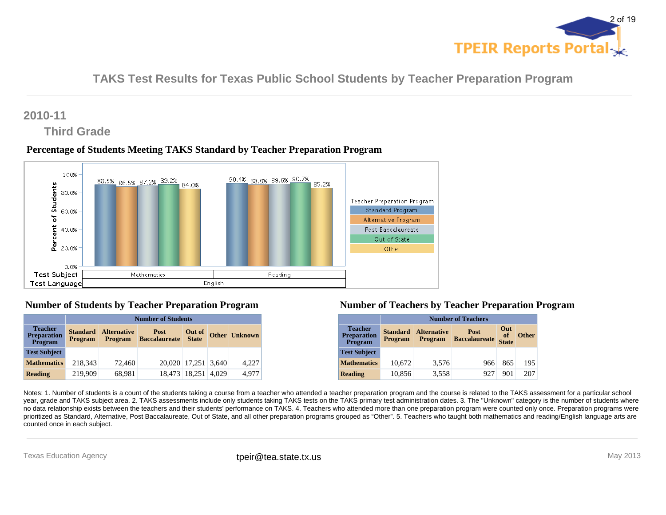

# **2010-11**

# **Third Grade**

### **Percentage of Students Meeting TAKS Standard by Teacher Preparation Program**



### **Number of Students by Teacher Preparation Program**

|                                                        |                                   | <b>Number of Students</b>            |                                     |                        |       |                      |  |  |  |  |  |  |
|--------------------------------------------------------|-----------------------------------|--------------------------------------|-------------------------------------|------------------------|-------|----------------------|--|--|--|--|--|--|
| <b>Teacher</b><br><b>Preparation</b><br><b>Program</b> | <b>Standard</b><br><b>Program</b> | <b>Alternative</b><br><b>Program</b> | <b>Post</b><br><b>Baccalaureate</b> | Out of<br><b>State</b> |       | <b>Other Unknown</b> |  |  |  |  |  |  |
| <b>Test Subject</b>                                    |                                   |                                      |                                     |                        |       |                      |  |  |  |  |  |  |
| <b>Mathematics</b>                                     | 218,343                           | 72,460                               |                                     | 20,020 17,251 3,640    |       | 4,227                |  |  |  |  |  |  |
| <b>Reading</b>                                         | 219,909                           | 68,981                               |                                     | 18.473 18.251          | 4.029 | 4.977                |  |  |  |  |  |  |

#### **Number of Teachers by Teacher Preparation Program**

|                                                        |                            | <b>Number of Teachers</b>                                                                                         |     |     |     |  |  |  |  |  |  |  |
|--------------------------------------------------------|----------------------------|-------------------------------------------------------------------------------------------------------------------|-----|-----|-----|--|--|--|--|--|--|--|
| <b>Teacher</b><br><b>Preparation</b><br><b>Program</b> | <b>Standard</b><br>Program | Out<br><b>Alternative</b><br>Post<br>of<br><b>Other</b><br><b>Baccalaureate</b><br><b>Program</b><br><b>State</b> |     |     |     |  |  |  |  |  |  |  |
| <b>Test Subject</b>                                    |                            |                                                                                                                   |     |     |     |  |  |  |  |  |  |  |
| <b>Mathematics</b>                                     | 10,672                     | 3,576                                                                                                             | 966 | 865 | 195 |  |  |  |  |  |  |  |
| <b>Reading</b>                                         | 10,856                     | 3,558                                                                                                             | 927 | 901 | 207 |  |  |  |  |  |  |  |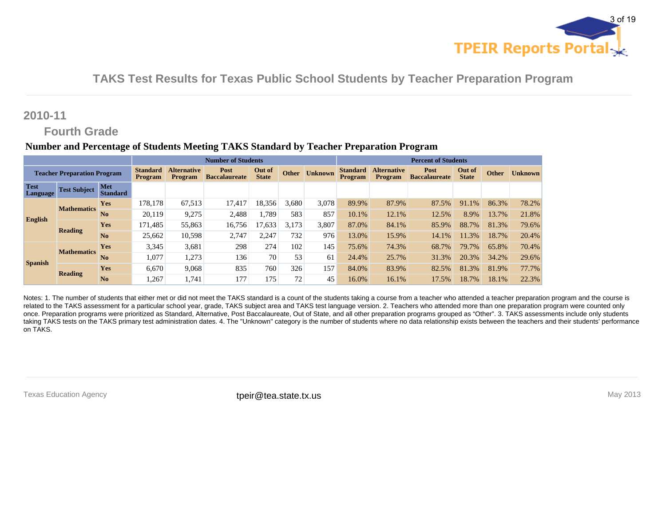

### **2010-11**

### **Fourth Grade**

#### **Number and Percentage of Students Meeting TAKS Standard by Teacher Preparation Program**

|                         |                                    |                        |                                   |                                      | <b>Number of Students</b>    |                        |              |                | <b>Percent of Students</b>        |                               |                              |                        |              |                |
|-------------------------|------------------------------------|------------------------|-----------------------------------|--------------------------------------|------------------------------|------------------------|--------------|----------------|-----------------------------------|-------------------------------|------------------------------|------------------------|--------------|----------------|
|                         | <b>Teacher Preparation Program</b> |                        | <b>Standard</b><br><b>Program</b> | <b>Alternative</b><br><b>Program</b> | Post<br><b>Baccalaureate</b> | Out of<br><b>State</b> | <b>Other</b> | <b>Unknown</b> | <b>Standard</b><br><b>Program</b> | <b>Alternative</b><br>Program | Post<br><b>Baccalaureate</b> | Out of<br><b>State</b> | <b>Other</b> | <b>Unknown</b> |
| <b>Test</b><br>Language | <b>Test Subject</b>                | Met<br><b>Standard</b> |                                   |                                      |                              |                        |              |                |                                   |                               |                              |                        |              |                |
|                         | <b>Mathematics</b>                 | <b>Yes</b>             | 178.178                           | 67.513                               | 17,417                       | 18,356                 | 3,680        | 3,078          | 89.9%                             | 87.9%                         | 87.5%                        | 91.1%                  | 86.3%        | 78.2%          |
| English                 |                                    | N <sub>0</sub>         | 20,119                            | 9.275                                | 2,488                        | .789                   | 583          | 857            | 10.1%                             | 12.1%                         | 12.5%                        | 8.9%                   | 13.7%        | 21.8%          |
|                         | <b>Reading</b>                     | Yes                    | 171,485                           | 55,863                               | 16,756                       | .633                   | 3,173        | 3,807          | 87.0%                             | 84.1%                         | 85.9%                        | 88.7%                  | 81.3%        | 79.6%          |
|                         |                                    | N <sub>0</sub>         | 25,662                            | 10.598                               | 2,747                        | 2.247                  | 732          | 976            | 13.0%                             | 15.9%                         | 14.1%                        | 11.3%                  | 18.7%        | 20.4%          |
|                         | <b>Mathematics</b>                 | <b>Yes</b>             | 3,345                             | 3,681                                | 298                          | 274                    | 102          | 145            | 75.6%                             | 74.3%                         | 68.7%                        | 79.7%                  | 65.8%        | 70.4%          |
| <b>Spanish</b>          |                                    | N <sub>0</sub>         | 1,077                             | 1.273                                | 136                          | 70                     | 53           | 61             | 24.4%                             | 25.7%                         | 31.3%                        | 20.3%                  | 34.2%        | 29.6%          |
|                         | Reading                            | <b>Yes</b>             | 6.670                             | 9.068                                | 835                          | 760                    | 326          | 157            | 84.0%                             | 83.9%                         | 82.5%                        | 81.3%                  | 81.9%        | 77.7%          |
|                         |                                    | N <sub>0</sub>         | 1.267                             | 1.741                                | 177                          | 175                    | 72           | 45             | 16.0%                             | 16.1%                         | 17.5%                        | 18.7%                  | 18.1%        | 22.3%          |

Notes: 1. The number of students that either met or did not meet the TAKS standard is a count of the students taking a course from a teacher who attended a teacher preparation program and the course is related to the TAKS assessment for a particular school year, grade, TAKS subject area and TAKS test language version. 2. Teachers who attended more than one preparation program were counted only once. Preparation programs were prioritized as Standard, Alternative, Post Baccalaureate, Out of State, and all other preparation programs grouped as "Other". 3. TAKS assessments include only students taking TAKS tests on the TAKS primary test administration dates. 4. The "Unknown" category is the number of students where no data relationship exists between the teachers and their students' performance on TAKS.

Texas Education Agency **their@tea.state.tx.us** their their their to the interview of the interview of the interview of the interview of the interview of the interview of the interview of the interview of the interview of t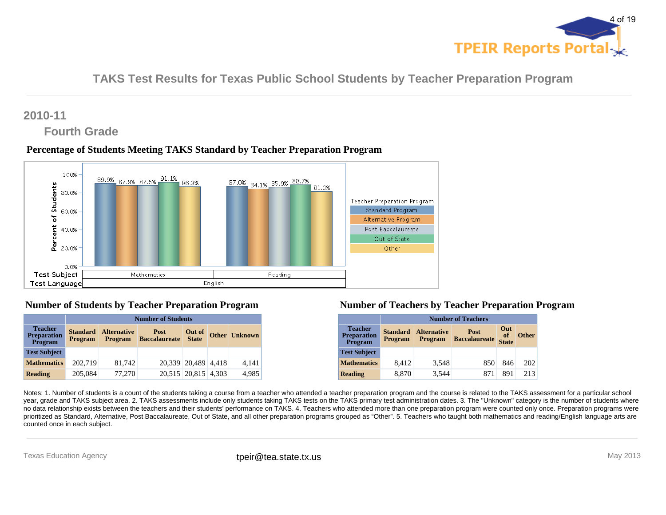

# **2010-11**

# **Fourth Grade**

### **Percentage of Students Meeting TAKS Standard by Teacher Preparation Program**



### **Number of Students by Teacher Preparation Program**

|                                                        |                                   | <b>Number of Students</b>            |                              |                        |  |                      |  |  |  |  |  |  |
|--------------------------------------------------------|-----------------------------------|--------------------------------------|------------------------------|------------------------|--|----------------------|--|--|--|--|--|--|
| <b>Teacher</b><br><b>Preparation</b><br><b>Program</b> | <b>Standard</b><br><b>Program</b> | <b>Alternative</b><br><b>Program</b> | Post<br><b>Baccalaureate</b> | Out of<br><b>State</b> |  | <b>Other Unknown</b> |  |  |  |  |  |  |
| <b>Test Subject</b>                                    |                                   |                                      |                              |                        |  |                      |  |  |  |  |  |  |
| <b>Mathematics</b>                                     | 202,719                           | 81,742                               |                              | 20,339 20,489 4,418    |  | 4,141                |  |  |  |  |  |  |
| <b>Reading</b>                                         | 205,084                           | 77.270                               |                              | 20,515 20,815 4,303    |  | 4,985                |  |  |  |  |  |  |

### **Number of Teachers by Teacher Preparation Program**

|                                                        |                                   | <b>Number of Teachers</b>            |                                     |                           |              |  |  |  |  |  |  |  |
|--------------------------------------------------------|-----------------------------------|--------------------------------------|-------------------------------------|---------------------------|--------------|--|--|--|--|--|--|--|
| <b>Teacher</b><br><b>Preparation</b><br><b>Program</b> | <b>Standard</b><br><b>Program</b> | <b>Alternative</b><br><b>Program</b> | <b>Post</b><br><b>Baccalaureate</b> | Out<br>of<br><b>State</b> | <b>Other</b> |  |  |  |  |  |  |  |
| <b>Test Subject</b>                                    |                                   |                                      |                                     |                           |              |  |  |  |  |  |  |  |
| <b>Mathematics</b>                                     | 8,412                             | 3,548                                | 850                                 | 846                       | 202          |  |  |  |  |  |  |  |
| <b>Reading</b>                                         | 8,870                             | 3.544                                | 871                                 | 891                       | 213          |  |  |  |  |  |  |  |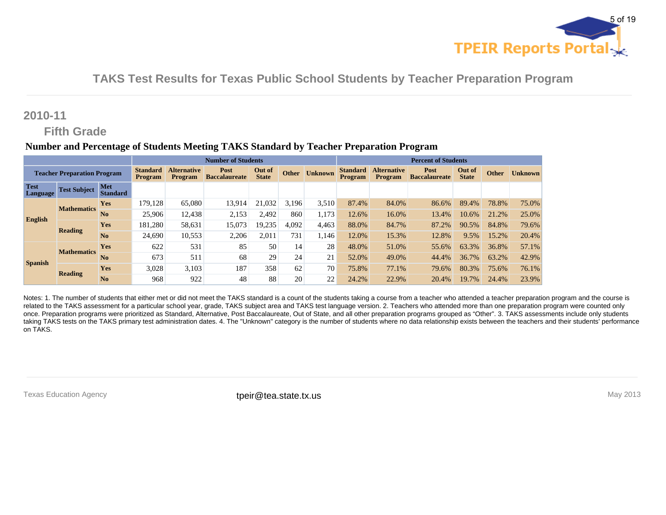

# **2010-11**

### **Fifth Grade**

#### **Number and Percentage of Students Meeting TAKS Standard by Teacher Preparation Program**

|                         |                                    |                               |                                   |                                      | <b>Number of Students</b>    |                        |              |                | <b>Percent of Students</b>        |                               |                              |                        |              |                |
|-------------------------|------------------------------------|-------------------------------|-----------------------------------|--------------------------------------|------------------------------|------------------------|--------------|----------------|-----------------------------------|-------------------------------|------------------------------|------------------------|--------------|----------------|
|                         | <b>Teacher Preparation Program</b> |                               | <b>Standard</b><br><b>Program</b> | <b>Alternative</b><br><b>Program</b> | Post<br><b>Baccalaureate</b> | Out of<br><b>State</b> | <b>Other</b> | <b>Unknown</b> | <b>Standard</b><br><b>Program</b> | <b>Alternative</b><br>Program | Post<br><b>Baccalaureate</b> | Out of<br><b>State</b> | <b>Other</b> | <b>Unknown</b> |
| <b>Test</b><br>Language | <b>Test Subject</b>                | <b>Met</b><br><b>Standard</b> |                                   |                                      |                              |                        |              |                |                                   |                               |                              |                        |              |                |
|                         | <b>Mathematics</b>                 | <b>Yes</b>                    | 179.128                           | 65,080                               | 13,914                       | 21.032                 | 3,196        | 3,510          | 87.4%                             | 84.0%                         | 86.6%                        | 89.4%                  | 78.8%        | 75.0%          |
| English                 |                                    | N <sub>0</sub>                | 25,906                            | 12.438                               | 2,153                        | 2.492                  | 860          | 1.173          | 12.6%                             | 16.0%                         | 13.4%                        | 10.6%                  | 21.2%        | 25.0%          |
|                         | <b>Reading</b>                     | Yes                           | 181,280                           | 58,631                               | 15,073                       | 19,235                 | 4,092        | 4,463          | 88.0%                             | 84.7%                         | 87.2%                        | 90.5%                  | 84.8%        | 79.6%          |
|                         |                                    | N <sub>0</sub>                | 24.690                            | 10,553                               | 2,206                        | 2.011                  | 731          | l.146          | 12.0%                             | 15.3%                         | 12.8%                        | 9.5%                   | 15.2%        | 20.4%          |
|                         | <b>Mathematics</b>                 | <b>Yes</b>                    | 622                               | 531                                  | 85                           | 50                     | 14           | 28             | 48.0%                             | 51.0%                         | 55.6%                        | 63.3%                  | 36.8%        | 57.1%          |
| <b>Spanish</b>          |                                    | N <sub>0</sub>                | 673                               | 511                                  | 68                           | 29                     | 24           | 21             | 52.0%                             | 49.0%                         | 44.4%                        | 36.7%                  | 63.2%        | 42.9%          |
|                         | Reading                            | <b>Yes</b>                    | 3,028                             | 3,103                                | 187                          | 358                    | 62           | 70             | 75.8%                             | 77.1%                         | 79.6%                        | 80.3%                  | 75.6%        | 76.1%          |
|                         |                                    | N <sub>0</sub>                | 968                               | 922                                  | 48                           | 88                     | 20           | 22             | 24.2%                             | 22.9%                         | 20.4%                        | 19.7%                  | 24.4%        | 23.9%          |

Notes: 1. The number of students that either met or did not meet the TAKS standard is a count of the students taking a course from a teacher who attended a teacher preparation program and the course is related to the TAKS assessment for a particular school year, grade, TAKS subject area and TAKS test language version. 2. Teachers who attended more than one preparation program were counted only once. Preparation programs were prioritized as Standard, Alternative, Post Baccalaureate, Out of State, and all other preparation programs grouped as "Other". 3. TAKS assessments include only students taking TAKS tests on the TAKS primary test administration dates. 4. The "Unknown" category is the number of students where no data relationship exists between the teachers and their students' performance on TAKS.

Texas Education Agency **their@tea.state.tx.us** their their their to the interview of the interview of the interview of the interview of the interview of the interview of the interview of the interview of the interview of t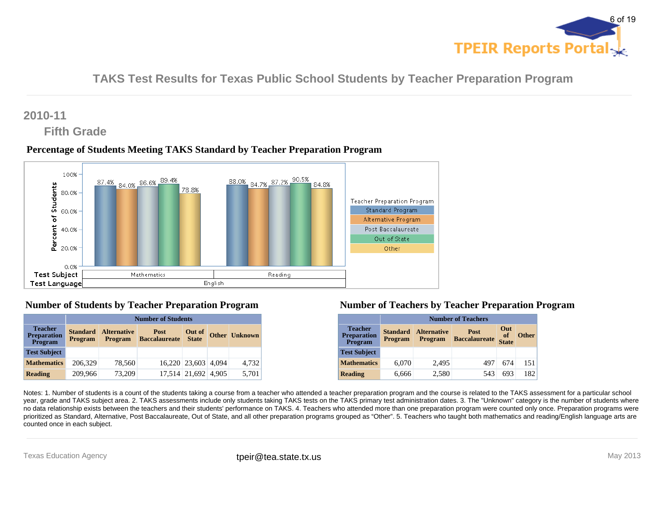

# **2010-11**

# **Fifth Grade**

### **Percentage of Students Meeting TAKS Standard by Teacher Preparation Program**



### **Number of Students by Teacher Preparation Program**

|                                                        |                                   | <b>Number of Students</b>            |                              |                        |  |                      |  |  |  |  |  |  |
|--------------------------------------------------------|-----------------------------------|--------------------------------------|------------------------------|------------------------|--|----------------------|--|--|--|--|--|--|
| <b>Teacher</b><br><b>Preparation</b><br><b>Program</b> | <b>Standard</b><br><b>Program</b> | <b>Alternative</b><br><b>Program</b> | Post<br><b>Baccalaureate</b> | Out of<br><b>State</b> |  | <b>Other Unknown</b> |  |  |  |  |  |  |
| <b>Test Subject</b>                                    |                                   |                                      |                              |                        |  |                      |  |  |  |  |  |  |
| <b>Mathematics</b>                                     | 206,329                           | 78,560                               |                              | 16,220 23,603 4,094    |  | 4,732                |  |  |  |  |  |  |
| <b>Reading</b>                                         | 209,966                           | 73,209                               |                              | 17,514 21,692 4,905    |  | 5,701                |  |  |  |  |  |  |

### **Number of Teachers by Teacher Preparation Program**

|                                                        |                                   | <b>Number of Teachers</b>            |                                     |                           |              |  |  |  |  |  |  |  |
|--------------------------------------------------------|-----------------------------------|--------------------------------------|-------------------------------------|---------------------------|--------------|--|--|--|--|--|--|--|
| <b>Teacher</b><br><b>Preparation</b><br><b>Program</b> | <b>Standard</b><br><b>Program</b> | <b>Alternative</b><br><b>Program</b> | <b>Post</b><br><b>Baccalaureate</b> | Out<br>of<br><b>State</b> | <b>Other</b> |  |  |  |  |  |  |  |
| <b>Test Subject</b>                                    |                                   |                                      |                                     |                           |              |  |  |  |  |  |  |  |
| <b>Mathematics</b>                                     | 6,070                             | 2,495                                | 497                                 | 674                       | 151          |  |  |  |  |  |  |  |
| <b>Reading</b>                                         | 6,666                             | 2,580                                | 543                                 | 693                       | 182          |  |  |  |  |  |  |  |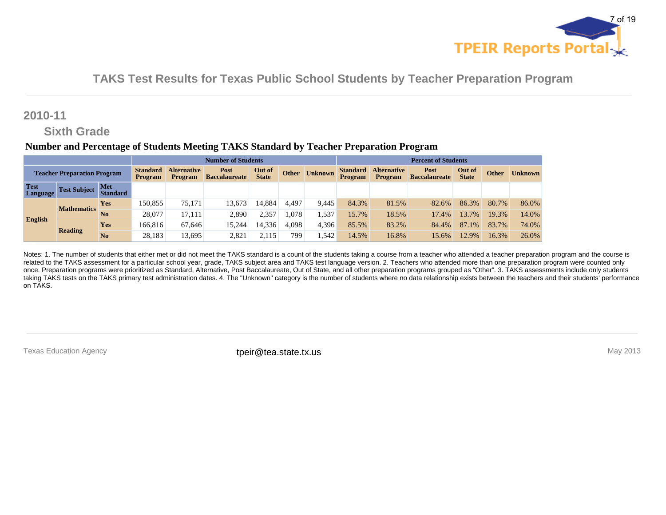

### **2010-11**

# **Sixth Grade**

#### **Number and Percentage of Students Meeting TAKS Standard by Teacher Preparation Program**

| <b>Number of Students</b>          |                     |                               |                                   |                                      |                              |                        |       | <b>Percent of Students</b> |                                   |                               |                              |                        |              |                |
|------------------------------------|---------------------|-------------------------------|-----------------------------------|--------------------------------------|------------------------------|------------------------|-------|----------------------------|-----------------------------------|-------------------------------|------------------------------|------------------------|--------------|----------------|
| <b>Teacher Preparation Program</b> |                     |                               | <b>Standard</b><br><b>Program</b> | <b>Alternative</b><br><b>Program</b> | Post<br><b>Baccalaureate</b> | Out of<br><b>State</b> | Other | <b>Unknown</b>             | <b>Standard</b><br><b>Program</b> | <b>Alternative</b><br>Program | Post<br><b>Baccalaureate</b> | Out of<br><b>State</b> | <b>Other</b> | <b>Unknown</b> |
| <b>Test</b><br>Language            | <b>Test Subject</b> | <b>Met</b><br><b>Standard</b> |                                   |                                      |                              |                        |       |                            |                                   |                               |                              |                        |              |                |
|                                    | <b>Mathematics</b>  | <b>Yes</b>                    | 150.855                           | 75.171                               | 13,673                       | 14.884                 | 4,497 | 9.445                      | 84.3%                             | 81.5%                         | 82.6%                        | 86.3%                  | 80.7%        | 86.0%          |
| English                            |                     | N <sub>0</sub>                | 28,077                            | 17.111                               | 2,890                        | 2.357                  | .078  | 1,537                      | 15.7%                             | 18.5%                         | 17.4%                        | 13.7%                  | 19.3%        | 14.0%          |
|                                    |                     | <b>Yes</b>                    | 166,816                           | 67.646                               | 15,244                       | 14,336                 | 4.098 | 4,396                      | 85.5%                             | 83.2%                         | 84.4%                        | 87.1%                  | 83.7%        | 74.0%          |
|                                    | <b>Reading</b>      | N <sub>0</sub>                | 28,183                            | 13,695                               | 2,821                        | 2,115                  | 799   | .542                       | 14.5%                             | 16.8%                         | 15.6%                        | 12.9%                  | 16.3%        | 26.0%          |

Notes: 1. The number of students that either met or did not meet the TAKS standard is a count of the students taking a course from a teacher who attended a teacher preparation program and the course is related to the TAKS assessment for a particular school year, grade, TAKS subject area and TAKS test language version. 2. Teachers who attended more than one preparation program were counted only once. Preparation programs were prioritized as Standard, Alternative, Post Baccalaureate, Out of State, and all other preparation programs grouped as "Other". 3. TAKS assessments include only students taking TAKS tests on the TAKS primary test administration dates. 4. The "Unknown" category is the number of students where no data relationship exists between the teachers and their students' performance on TAKS.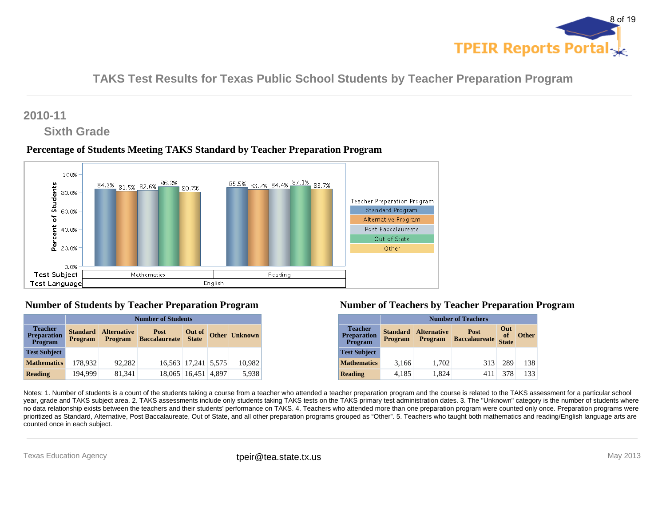

# **2010-11**

### **Sixth Grade**

### **Percentage of Students Meeting TAKS Standard by Teacher Preparation Program**



### **Number of Students by Teacher Preparation Program**

|                                                        |                                   | <b>Number of Students</b>            |                              |                        |  |                      |  |  |  |  |  |  |
|--------------------------------------------------------|-----------------------------------|--------------------------------------|------------------------------|------------------------|--|----------------------|--|--|--|--|--|--|
| <b>Teacher</b><br><b>Preparation</b><br><b>Program</b> | <b>Standard</b><br><b>Program</b> | <b>Alternative</b><br><b>Program</b> | Post<br><b>Baccalaureate</b> | Out of<br><b>State</b> |  | <b>Other Unknown</b> |  |  |  |  |  |  |
| <b>Test Subject</b>                                    |                                   |                                      |                              |                        |  |                      |  |  |  |  |  |  |
| <b>Mathematics</b>                                     | 178.932                           | 92,282                               |                              | 16,563 17,241 5,575    |  | 10,982               |  |  |  |  |  |  |
| <b>Reading</b>                                         | 194.999                           | 81.341                               |                              | 18,065 16,451 4,897    |  | 5,938                |  |  |  |  |  |  |

#### **Number of Teachers by Teacher Preparation Program**

|                                                 |                                   | <b>Number of Teachers</b>            |                                     |                           |              |  |  |  |  |  |  |  |
|-------------------------------------------------|-----------------------------------|--------------------------------------|-------------------------------------|---------------------------|--------------|--|--|--|--|--|--|--|
| <b>Teacher</b><br><b>Preparation</b><br>Program | <b>Standard</b><br><b>Program</b> | <b>Alternative</b><br><b>Program</b> | <b>Post</b><br><b>Baccalaureate</b> | Out<br>of<br><b>State</b> | <b>Other</b> |  |  |  |  |  |  |  |
| <b>Test Subject</b>                             |                                   |                                      |                                     |                           |              |  |  |  |  |  |  |  |
| <b>Mathematics</b>                              | 3,166                             | 1,702                                | 313                                 | 289                       | 138          |  |  |  |  |  |  |  |
| <b>Reading</b>                                  | 4,185                             | 1,824                                | 411                                 | 378                       | 133          |  |  |  |  |  |  |  |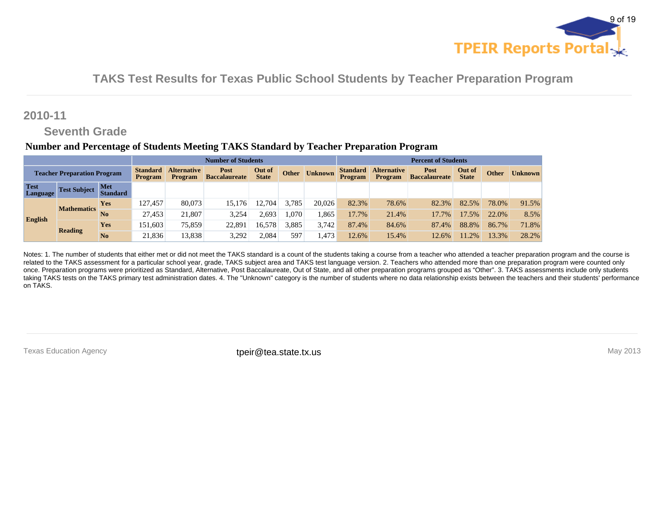

### **2010-11**

### **Seventh Grade**

#### **Number and Percentage of Students Meeting TAKS Standard by Teacher Preparation Program**

|                                    | <b>Number of Students</b> |                               |                                   |                                      |                              |                        |              |                |                                   | <b>Percent of Students</b>           |                              |                        |       |                |
|------------------------------------|---------------------------|-------------------------------|-----------------------------------|--------------------------------------|------------------------------|------------------------|--------------|----------------|-----------------------------------|--------------------------------------|------------------------------|------------------------|-------|----------------|
| <b>Teacher Preparation Program</b> |                           |                               | <b>Standard</b><br><b>Program</b> | <b>Alternative</b><br><b>Program</b> | Post<br><b>Baccalaureate</b> | Out of<br><b>State</b> | <b>Other</b> | <b>Unknown</b> | <b>Standard</b><br><b>Program</b> | <b>Alternative</b><br><b>Program</b> | Post<br><b>Baccalaureate</b> | Out of<br><b>State</b> | Other | <b>Unknown</b> |
| <b>Test</b><br><b>Language</b>     | <b>Test Subject</b>       | <b>Met</b><br><b>Standard</b> |                                   |                                      |                              |                        |              |                |                                   |                                      |                              |                        |       |                |
|                                    | <b>Mathematics</b>        | <b>Yes</b>                    | 127.457                           | 80.073                               | 15,176                       | 12.704                 | 3,785        | 20,026         | 82.3%                             | 78.6%                                | 82.3%                        | 82.5%                  | 78.0% | 91.5%          |
|                                    |                           | No                            | 27.453                            | 21.807                               | 3,254                        | 2.693                  | .070         | .865           | 17.7%                             | 21.4%                                | 17.7%                        | 17.5%                  | 22.0% | 8.5%           |
| English                            | <b>Reading</b>            | <b>Yes</b>                    | 151.603                           | 75,859                               | 22,891                       | 16,578                 | 3,885        | 3.742          | 87.4%                             | 84.6%                                | 87.4%                        | 88.8%                  | 86.7% | 71.8%          |
|                                    |                           | No                            | 21,836                            | 13,838                               | 3,292                        | 2.084                  | 597          | . 473          | 12.6%                             | 15.4%                                | 12.6%                        | .2%                    | 13.3% | 28.2%          |

Notes: 1. The number of students that either met or did not meet the TAKS standard is a count of the students taking a course from a teacher who attended a teacher preparation program and the course is related to the TAKS assessment for a particular school year, grade, TAKS subject area and TAKS test language version. 2. Teachers who attended more than one preparation program were counted only once. Preparation programs were prioritized as Standard, Alternative, Post Baccalaureate, Out of State, and all other preparation programs grouped as "Other". 3. TAKS assessments include only students taking TAKS tests on the TAKS primary test administration dates. 4. The "Unknown" category is the number of students where no data relationship exists between the teachers and their students' performance on TAKS.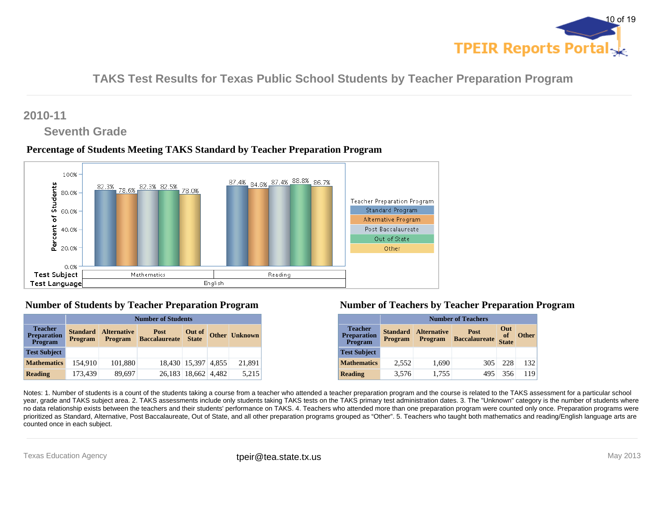

### **2010-11**

# **Seventh Grade**

### **Percentage of Students Meeting TAKS Standard by Teacher Preparation Program**



### **Number of Students by Teacher Preparation Program**

|                                                        | <b>Number of Students</b>         |                                      |                                     |                        |  |                      |  |  |  |  |  |
|--------------------------------------------------------|-----------------------------------|--------------------------------------|-------------------------------------|------------------------|--|----------------------|--|--|--|--|--|
| <b>Teacher</b><br><b>Preparation</b><br><b>Program</b> | <b>Standard</b><br><b>Program</b> | <b>Alternative</b><br><b>Program</b> | <b>Post</b><br><b>Baccalaureate</b> | Out of<br><b>State</b> |  | <b>Other Unknown</b> |  |  |  |  |  |
| <b>Test Subject</b>                                    |                                   |                                      |                                     |                        |  |                      |  |  |  |  |  |
| <b>Mathematics</b>                                     | 154.910                           | 101,880                              |                                     | 18,430 15,397 4,855    |  | 21,891               |  |  |  |  |  |
| <b>Reading</b>                                         | 173,439                           | 89,697                               |                                     | 26,183 18,662 4,482    |  | 5,215                |  |  |  |  |  |

### **Number of Teachers by Teacher Preparation Program**

|                                                        |                            | <b>Number of Teachers</b>                                                                                         |     |     |     |  |  |  |  |  |  |  |
|--------------------------------------------------------|----------------------------|-------------------------------------------------------------------------------------------------------------------|-----|-----|-----|--|--|--|--|--|--|--|
| <b>Teacher</b><br><b>Preparation</b><br><b>Program</b> | <b>Standard</b><br>Program | Out<br><b>Alternative</b><br>Post<br>of<br><b>Other</b><br><b>Baccalaureate</b><br><b>Program</b><br><b>State</b> |     |     |     |  |  |  |  |  |  |  |
| <b>Test Subject</b>                                    |                            |                                                                                                                   |     |     |     |  |  |  |  |  |  |  |
| <b>Mathematics</b>                                     | 2,552                      | 1,690                                                                                                             | 305 | 228 | 132 |  |  |  |  |  |  |  |
| <b>Reading</b>                                         | 3,576                      | 1,755                                                                                                             | 495 | 356 | 119 |  |  |  |  |  |  |  |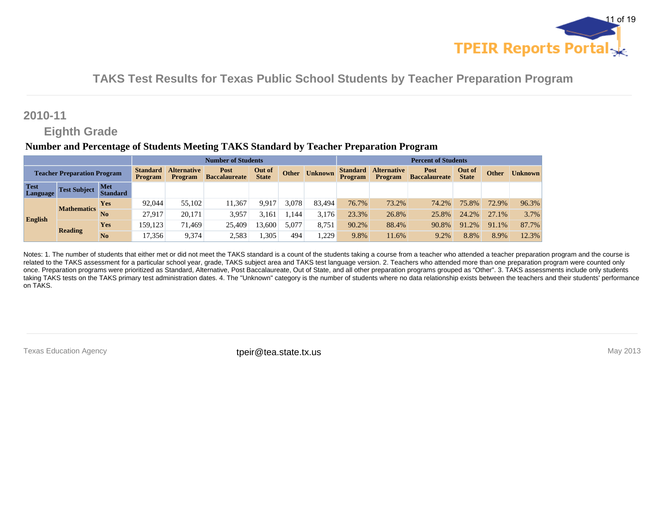

### **2010-11**

### **Eighth Grade**

#### **Number and Percentage of Students Meeting TAKS Standard by Teacher Preparation Program**

|                                    | <b>Number of Students</b> |                               |                                   |                                      |                              |                        |       |                |                            | <b>Percent of Students</b>           |                              |                        |              |                |
|------------------------------------|---------------------------|-------------------------------|-----------------------------------|--------------------------------------|------------------------------|------------------------|-------|----------------|----------------------------|--------------------------------------|------------------------------|------------------------|--------------|----------------|
| <b>Teacher Preparation Program</b> |                           |                               | <b>Standard</b><br><b>Program</b> | <b>Alternative</b><br><b>Program</b> | Post<br><b>Baccalaureate</b> | Out of<br><b>State</b> | Other | <b>Unknown</b> | <b>Standard</b><br>Program | <b>Alternative</b><br><b>Program</b> | Post<br><b>Baccalaureate</b> | Out of<br><b>State</b> | <b>Other</b> | <b>Unknown</b> |
| <b>Test</b><br><b>Language</b>     | <b>Test Subject</b>       | <b>Met</b><br><b>Standard</b> |                                   |                                      |                              |                        |       |                |                            |                                      |                              |                        |              |                |
|                                    | <b>Mathematics</b>        | <b>Yes</b>                    | 92,044                            | 55,102                               | 11.367                       | 9.917                  | 3.078 | 83.494         | 76.7%                      | 73.2%                                | 74.2%                        | 75.8%                  | 72.9%        | 96.3%          |
|                                    |                           | No                            | 27.917                            | 20.171                               | 3,957                        | 3.161                  | .144  | 3.176          | 23.3%                      | 26.8%                                | 25.8%                        | 24.2%                  | 27.1%        | 3.7%           |
| English                            | <b>Reading</b>            | <b>Yes</b>                    | 159.123                           | 71.469                               | 25,409                       | 13.600                 | 5,077 | 8,751          | 90.2%                      | 88.4%                                | 90.8%                        | 91.2%                  | 91.1%        | 87.7%          |
|                                    |                           | No                            | 17,356                            | 9,374                                | 2,583                        | .305                   | 494   | 1,229          | 9.8%                       | 11.6%                                | 9.2%                         | 8.8%                   | 8.9%         | 12.3%          |

Notes: 1. The number of students that either met or did not meet the TAKS standard is a count of the students taking a course from a teacher who attended a teacher preparation program and the course is related to the TAKS assessment for a particular school year, grade, TAKS subject area and TAKS test language version. 2. Teachers who attended more than one preparation program were counted only once. Preparation programs were prioritized as Standard, Alternative, Post Baccalaureate, Out of State, and all other preparation programs grouped as "Other". 3. TAKS assessments include only students taking TAKS tests on the TAKS primary test administration dates. 4. The "Unknown" category is the number of students where no data relationship exists between the teachers and their students' performance on TAKS.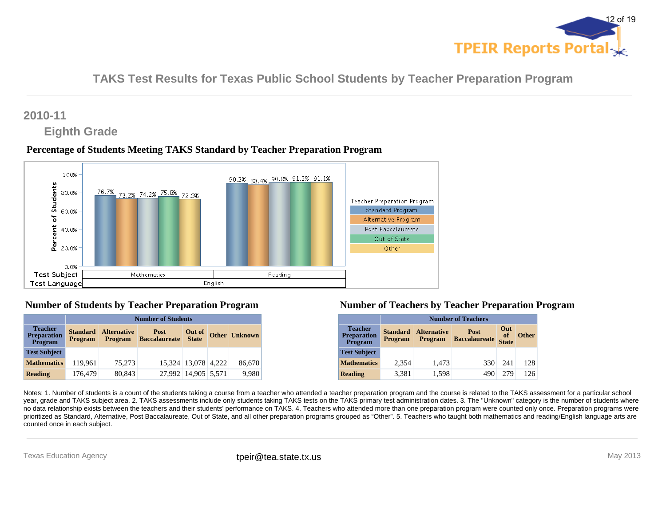

# **2010-11**

# **Eighth Grade**

### **Percentage of Students Meeting TAKS Standard by Teacher Preparation Program**



### **Number of Students by Teacher Preparation Program**

|                                                        | <b>Number of Students</b>         |                                      |                                     |                        |  |                      |  |  |  |  |  |
|--------------------------------------------------------|-----------------------------------|--------------------------------------|-------------------------------------|------------------------|--|----------------------|--|--|--|--|--|
| <b>Teacher</b><br><b>Preparation</b><br><b>Program</b> | <b>Standard</b><br><b>Program</b> | <b>Alternative</b><br><b>Program</b> | <b>Post</b><br><b>Baccalaureate</b> | Out of<br><b>State</b> |  | <b>Other Unknown</b> |  |  |  |  |  |
| <b>Test Subject</b>                                    |                                   |                                      |                                     |                        |  |                      |  |  |  |  |  |
| <b>Mathematics</b>                                     | 119.961                           | 75,273                               |                                     | 15,324 13,078 4,222    |  | 86,670               |  |  |  |  |  |
| <b>Reading</b>                                         | 176,479                           | 80,843                               |                                     | 27,992 14,905 5,571    |  | 9,980                |  |  |  |  |  |

### **Number of Teachers by Teacher Preparation Program**

|                                                        |                                   | <b>Number of Teachers</b>                                                                                                |     |     |     |  |  |  |  |  |  |  |
|--------------------------------------------------------|-----------------------------------|--------------------------------------------------------------------------------------------------------------------------|-----|-----|-----|--|--|--|--|--|--|--|
| <b>Teacher</b><br><b>Preparation</b><br><b>Program</b> | <b>Standard</b><br><b>Program</b> | Out<br><b>Alternative</b><br><b>Post</b><br>of<br><b>Other</b><br><b>Baccalaureate</b><br><b>Program</b><br><b>State</b> |     |     |     |  |  |  |  |  |  |  |
| <b>Test Subject</b>                                    |                                   |                                                                                                                          |     |     |     |  |  |  |  |  |  |  |
| <b>Mathematics</b>                                     | 2,354                             | 1,473                                                                                                                    | 330 | 241 | 128 |  |  |  |  |  |  |  |
| <b>Reading</b>                                         | 3,381                             | 1,598                                                                                                                    | 490 | 279 | 126 |  |  |  |  |  |  |  |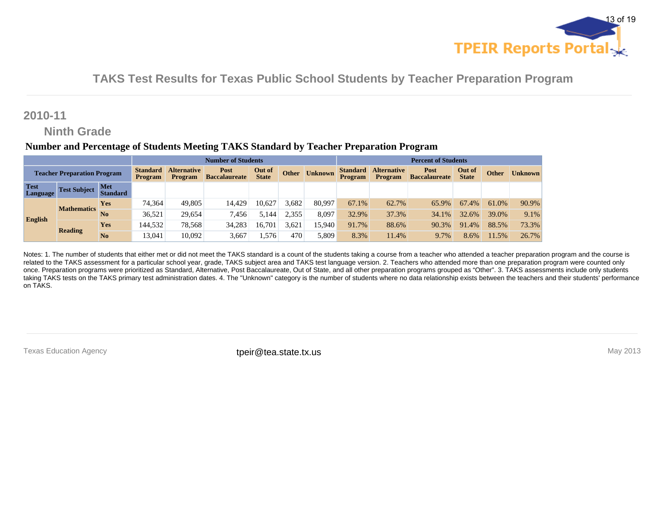

### **2010-11**

# **Ninth Grade**

#### **Number and Percentage of Students Meeting TAKS Standard by Teacher Preparation Program**

|                                    | <b>Number of Students</b> |                               |                                   |                                      |                              |                        |              |                |                                   | <b>Percent of Students</b>           |                              |                        |              |                |
|------------------------------------|---------------------------|-------------------------------|-----------------------------------|--------------------------------------|------------------------------|------------------------|--------------|----------------|-----------------------------------|--------------------------------------|------------------------------|------------------------|--------------|----------------|
| <b>Teacher Preparation Program</b> |                           |                               | <b>Standard</b><br><b>Program</b> | <b>Alternative</b><br><b>Program</b> | Post<br><b>Baccalaureate</b> | Out of<br><b>State</b> | <b>Other</b> | <b>Unknown</b> | <b>Standard</b><br><b>Program</b> | <b>Alternative</b><br><b>Program</b> | Post<br><b>Baccalaureate</b> | Out of<br><b>State</b> | <b>Other</b> | <b>Unknown</b> |
| <b>Test</b><br>Language            | <b>Test Subject</b>       | <b>Met</b><br><b>Standard</b> |                                   |                                      |                              |                        |              |                |                                   |                                      |                              |                        |              |                |
|                                    | <b>Mathematics</b>        | <b>Yes</b>                    | 74.364                            | 49.805                               | 14,429                       | 10.62'                 | 3.682        | 80,997         | 67.1%                             | 62.7%                                | 65.9%                        | 67.4%                  | 61.0%        | 90.9%          |
|                                    |                           | N <sub>0</sub>                | 36,521                            | 29.654                               | 7,456                        | 5.144                  | 2,355        | 8,097          | 32.9%                             | 37.3%                                | 34.1%                        | 32.6%                  | 39.0%        | 9.1%           |
| English                            | <b>Reading</b>            | <b>Yes</b>                    | 144.532                           | 78.568                               | 34,283                       | 16.70                  | 3,621        | 15.940         | 91.7%                             | 88.6%                                | 90.3%                        | 91.4%                  | 88.5%        | 73.3%          |
|                                    |                           | N <sub>0</sub>                | 13,041                            | 10.092                               | 3,667                        | .576                   | 470          | 5.809          | 8.3%                              | 11.4%                                | 9.7%                         | 8.6%                   | 11.5%        | 26.7%          |

Notes: 1. The number of students that either met or did not meet the TAKS standard is a count of the students taking a course from a teacher who attended a teacher preparation program and the course is related to the TAKS assessment for a particular school year, grade, TAKS subject area and TAKS test language version. 2. Teachers who attended more than one preparation program were counted only once. Preparation programs were prioritized as Standard, Alternative, Post Baccalaureate, Out of State, and all other preparation programs grouped as "Other". 3. TAKS assessments include only students taking TAKS tests on the TAKS primary test administration dates. 4. The "Unknown" category is the number of students where no data relationship exists between the teachers and their students' performance on TAKS.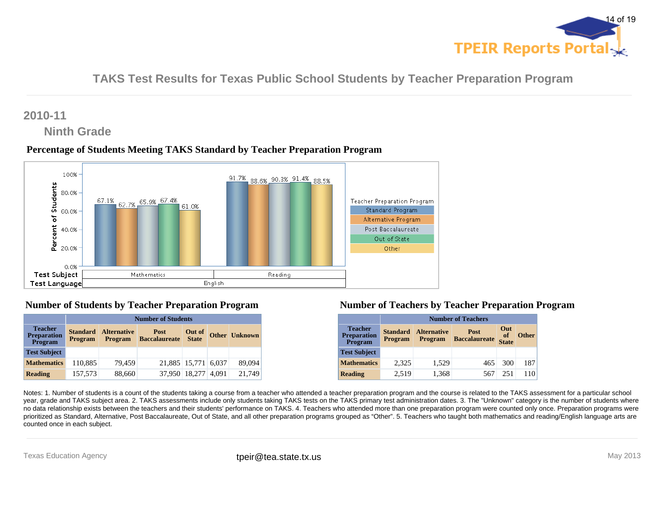

# **2010-11**

# **Ninth Grade**

### **Percentage of Students Meeting TAKS Standard by Teacher Preparation Program**



### **Number of Students by Teacher Preparation Program**

|                                                        | <b>Number of Students</b>         |                                      |                                     |                        |       |                      |  |  |  |  |  |
|--------------------------------------------------------|-----------------------------------|--------------------------------------|-------------------------------------|------------------------|-------|----------------------|--|--|--|--|--|
| <b>Teacher</b><br><b>Preparation</b><br><b>Program</b> | <b>Standard</b><br><b>Program</b> | <b>Alternative</b><br><b>Program</b> | <b>Post</b><br><b>Baccalaureate</b> | Out of<br><b>State</b> |       | <b>Other Unknown</b> |  |  |  |  |  |
| <b>Test Subject</b>                                    |                                   |                                      |                                     |                        |       |                      |  |  |  |  |  |
| <b>Mathematics</b>                                     | 110,885                           | 79,459                               | 21,885 15,771 6,037                 |                        |       | 89,094               |  |  |  |  |  |
| <b>Reading</b>                                         | 157,573                           | 88,660                               |                                     | 37.950 18.277          | 4.091 | 21.749               |  |  |  |  |  |

#### **Number of Teachers by Teacher Preparation Program**

|                                                        |                                   | <b>Number of Teachers</b>                                                                                                |     |     |     |  |  |  |  |  |  |  |
|--------------------------------------------------------|-----------------------------------|--------------------------------------------------------------------------------------------------------------------------|-----|-----|-----|--|--|--|--|--|--|--|
| <b>Teacher</b><br><b>Preparation</b><br><b>Program</b> | <b>Standard</b><br><b>Program</b> | Out<br><b>Alternative</b><br><b>Post</b><br>of<br><b>Other</b><br><b>Baccalaureate</b><br><b>Program</b><br><b>State</b> |     |     |     |  |  |  |  |  |  |  |
| <b>Test Subject</b>                                    |                                   |                                                                                                                          |     |     |     |  |  |  |  |  |  |  |
| <b>Mathematics</b>                                     | 2,325                             | 1,529                                                                                                                    | 465 | 300 | 187 |  |  |  |  |  |  |  |
| <b>Reading</b>                                         | 2,519                             | 1,368                                                                                                                    | 567 | 251 | 110 |  |  |  |  |  |  |  |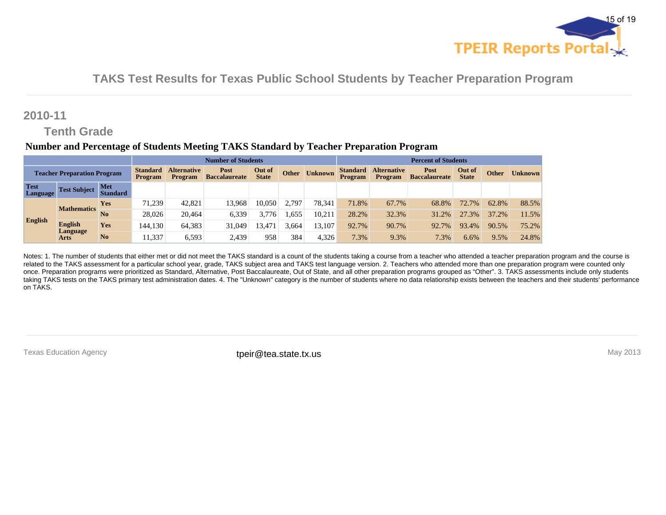

### **2010-11**

# **Tenth Grade**

#### **Number and Percentage of Students Meeting TAKS Standard by Teacher Preparation Program**

|                                    |                         | <b>Number of Students</b> |                                   |                                      |                              |                        |              |                |                            | <b>Percent of Students</b>    |                              |                        |              |                |
|------------------------------------|-------------------------|---------------------------|-----------------------------------|--------------------------------------|------------------------------|------------------------|--------------|----------------|----------------------------|-------------------------------|------------------------------|------------------------|--------------|----------------|
| <b>Teacher Preparation Program</b> |                         |                           | <b>Standard</b><br><b>Program</b> | <b>Alternative</b><br><b>Program</b> | Post<br><b>Baccalaureate</b> | Out of<br><b>State</b> | <b>Other</b> | <b>Unknown</b> | <b>Standard</b><br>Program | <b>Alternative</b><br>Program | Post<br><b>Baccalaureate</b> | Out of<br><b>State</b> | <b>Other</b> | <b>Unknown</b> |
| <b>Test</b><br><b>Language</b>     | <b>Test Subject</b>     | Met<br><b>Standard</b>    |                                   |                                      |                              |                        |              |                |                            |                               |                              |                        |              |                |
|                                    | <b>Mathematics</b>      | <b>Yes</b>                | 71.239                            | 42,821                               | 13.968                       | 10.050                 | 2.797        | 78.341         | 71.8%                      | 67.7%                         | 68.8%                        | 72.7%                  | 62.8%        | 88.5%          |
|                                    |                         | No                        | 28,026                            | 20.464                               | 6,339                        | 3.776                  | .655         | 10.211         | 28.2%                      | 32.3%                         | 31.2%                        | 27.3%                  | 37.2%        | 11.5%          |
| <b>English</b>                     | English                 | <b>Yes</b>                | 144,130                           | 64.383                               | 31,049                       | 3.47                   | 3.664        | 13.107         | 92.7%                      | 90.7%                         | 92.7%                        | 93.4%                  | 90.5%        | 75.2%          |
|                                    | Language<br><b>Arts</b> | N <sub>0</sub>            | 11.337                            | 6,593                                | 2,439                        | 958                    | 384          | 4.326          | 7.3%                       | 9.3%                          | 7.3%                         | 6.6%                   | 9.5%         | 24.8%          |

Notes: 1. The number of students that either met or did not meet the TAKS standard is a count of the students taking a course from a teacher who attended a teacher preparation program and the course is related to the TAKS assessment for a particular school year, grade, TAKS subject area and TAKS test language version. 2. Teachers who attended more than one preparation program were counted only once. Preparation programs were prioritized as Standard, Alternative, Post Baccalaureate, Out of State, and all other preparation programs grouped as "Other". 3. TAKS assessments include only students taking TAKS tests on the TAKS primary test administration dates. 4. The "Unknown" category is the number of students where no data relationship exists between the teachers and their students' performance on TAKS.

Texas Education Agency **their@tea.state.tx.us** their **contained the intervals of the intervals** May 2013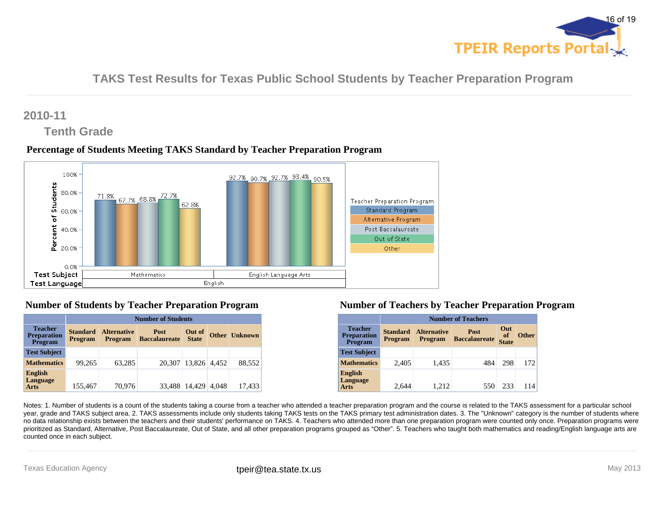

## **2010-11**

# **Tenth Grade**

### **Percentage of Students Meeting TAKS Standard by Teacher Preparation Program**



### **Number of Students by Teacher Preparation Program**

|                                                 | <b>Number of Students</b>         |                                      |                              |                        |       |                      |  |  |  |  |  |
|-------------------------------------------------|-----------------------------------|--------------------------------------|------------------------------|------------------------|-------|----------------------|--|--|--|--|--|
| <b>Teacher</b><br><b>Preparation</b><br>Program | <b>Standard</b><br><b>Program</b> | <b>Alternative</b><br><b>Program</b> | Post<br><b>Baccalaureate</b> | Out of<br><b>State</b> |       | <b>Other Unknown</b> |  |  |  |  |  |
| <b>Test Subject</b>                             |                                   |                                      |                              |                        |       |                      |  |  |  |  |  |
| <b>Mathematics</b>                              | 99.265                            | 63,285                               |                              | 20.307 13.826 4.452    |       | 88.552               |  |  |  |  |  |
| <b>English</b><br>Language<br><b>Arts</b>       | 155,467                           | 70,976                               | 33.488                       | 14.429                 | 4.048 | 17,433               |  |  |  |  |  |

#### **Number of Teachers by Teacher Preparation Program**

|                                                 | <b>Number of Teachers</b>  |                                      |                              |                           |              |  |  |  |  |  |  |
|-------------------------------------------------|----------------------------|--------------------------------------|------------------------------|---------------------------|--------------|--|--|--|--|--|--|
| <b>Teacher</b><br><b>Preparation</b><br>Program | Standard<br><b>Program</b> | <b>Alternative</b><br><b>Program</b> | Post<br><b>Baccalaureate</b> | Out<br>of<br><b>State</b> | <b>Other</b> |  |  |  |  |  |  |
| <b>Test Subject</b>                             |                            |                                      |                              |                           |              |  |  |  |  |  |  |
| <b>Mathematics</b>                              | 2,405                      | 1,435                                | 484                          | 298                       | 172          |  |  |  |  |  |  |
| <b>English</b><br>Language<br>Arts              | 2.644                      | 1.212                                | 550                          | 233                       | 114          |  |  |  |  |  |  |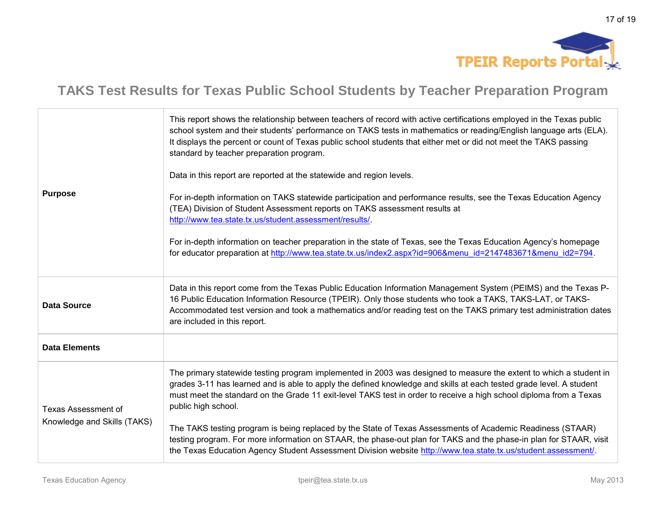

| <b>Purpose</b>                                            | This report shows the relationship between teachers of record with active certifications employed in the Texas public<br>school system and their students' performance on TAKS tests in mathematics or reading/English language arts (ELA).<br>It displays the percent or count of Texas public school students that either met or did not meet the TAKS passing<br>standard by teacher preparation program.<br>Data in this report are reported at the statewide and region levels.<br>For in-depth information on TAKS statewide participation and performance results, see the Texas Education Agency<br>(TEA) Division of Student Assessment reports on TAKS assessment results at<br>http://www.tea.state.tx.us/student.assessment/results/.<br>For in-depth information on teacher preparation in the state of Texas, see the Texas Education Agency's homepage<br>for educator preparation at http://www.tea.state.tx.us/index2.aspx?id=906&menu_id=2147483671&menu_id2=794. |
|-----------------------------------------------------------|-------------------------------------------------------------------------------------------------------------------------------------------------------------------------------------------------------------------------------------------------------------------------------------------------------------------------------------------------------------------------------------------------------------------------------------------------------------------------------------------------------------------------------------------------------------------------------------------------------------------------------------------------------------------------------------------------------------------------------------------------------------------------------------------------------------------------------------------------------------------------------------------------------------------------------------------------------------------------------------|
| <b>Data Source</b>                                        | Data in this report come from the Texas Public Education Information Management System (PEIMS) and the Texas P-<br>16 Public Education Information Resource (TPEIR). Only those students who took a TAKS, TAKS-LAT, or TAKS-<br>Accommodated test version and took a mathematics and/or reading test on the TAKS primary test administration dates<br>are included in this report.                                                                                                                                                                                                                                                                                                                                                                                                                                                                                                                                                                                                  |
| <b>Data Elements</b>                                      |                                                                                                                                                                                                                                                                                                                                                                                                                                                                                                                                                                                                                                                                                                                                                                                                                                                                                                                                                                                     |
| <b>Texas Assessment of</b><br>Knowledge and Skills (TAKS) | The primary statewide testing program implemented in 2003 was designed to measure the extent to which a student in<br>grades 3-11 has learned and is able to apply the defined knowledge and skills at each tested grade level. A student<br>must meet the standard on the Grade 11 exit-level TAKS test in order to receive a high school diploma from a Texas<br>public high school.<br>The TAKS testing program is being replaced by the State of Texas Assessments of Academic Readiness (STAAR)<br>testing program. For more information on STAAR, the phase-out plan for TAKS and the phase-in plan for STAAR, visit<br>the Texas Education Agency Student Assessment Division website http://www.tea.state.tx.us/student.assessment/.                                                                                                                                                                                                                                        |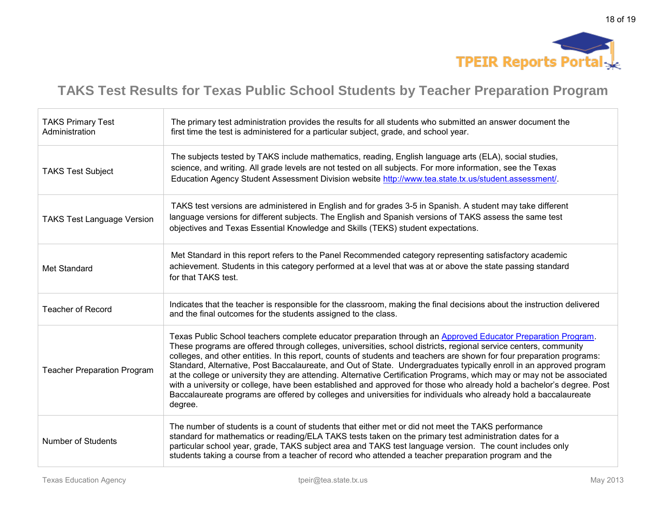

| <b>TAKS Primary Test</b><br>Administration | The primary test administration provides the results for all students who submitted an answer document the<br>first time the test is administered for a particular subject, grade, and school year.                                                                                                                                                                                                                                                                                                                                                                                                                                                                                                                                                                                                                                                                  |
|--------------------------------------------|----------------------------------------------------------------------------------------------------------------------------------------------------------------------------------------------------------------------------------------------------------------------------------------------------------------------------------------------------------------------------------------------------------------------------------------------------------------------------------------------------------------------------------------------------------------------------------------------------------------------------------------------------------------------------------------------------------------------------------------------------------------------------------------------------------------------------------------------------------------------|
| <b>TAKS Test Subject</b>                   | The subjects tested by TAKS include mathematics, reading, English language arts (ELA), social studies,<br>science, and writing. All grade levels are not tested on all subjects. For more information, see the Texas<br>Education Agency Student Assessment Division website http://www.tea.state.tx.us/student.assessment/.                                                                                                                                                                                                                                                                                                                                                                                                                                                                                                                                         |
| <b>TAKS Test Language Version</b>          | TAKS test versions are administered in English and for grades 3-5 in Spanish. A student may take different<br>language versions for different subjects. The English and Spanish versions of TAKS assess the same test<br>objectives and Texas Essential Knowledge and Skills (TEKS) student expectations.                                                                                                                                                                                                                                                                                                                                                                                                                                                                                                                                                            |
| Met Standard                               | Met Standard in this report refers to the Panel Recommended category representing satisfactory academic<br>achievement. Students in this category performed at a level that was at or above the state passing standard<br>for that TAKS test.                                                                                                                                                                                                                                                                                                                                                                                                                                                                                                                                                                                                                        |
| <b>Teacher of Record</b>                   | Indicates that the teacher is responsible for the classroom, making the final decisions about the instruction delivered<br>and the final outcomes for the students assigned to the class.                                                                                                                                                                                                                                                                                                                                                                                                                                                                                                                                                                                                                                                                            |
| <b>Teacher Preparation Program</b>         | Texas Public School teachers complete educator preparation through an Approved Educator Preparation Program.<br>These programs are offered through colleges, universities, school districts, regional service centers, community<br>colleges, and other entities. In this report, counts of students and teachers are shown for four preparation programs:<br>Standard, Alternative, Post Baccalaureate, and Out of State. Undergraduates typically enroll in an approved program<br>at the college or university they are attending. Alternative Certification Programs, which may or may not be associated<br>with a university or college, have been established and approved for those who already hold a bachelor's degree. Post<br>Baccalaureate programs are offered by colleges and universities for individuals who already hold a baccalaureate<br>degree. |
| Number of Students                         | The number of students is a count of students that either met or did not meet the TAKS performance<br>standard for mathematics or reading/ELA TAKS tests taken on the primary test administration dates for a<br>particular school year, grade, TAKS subject area and TAKS test language version. The count includes only<br>students taking a course from a teacher of record who attended a teacher preparation program and the                                                                                                                                                                                                                                                                                                                                                                                                                                    |